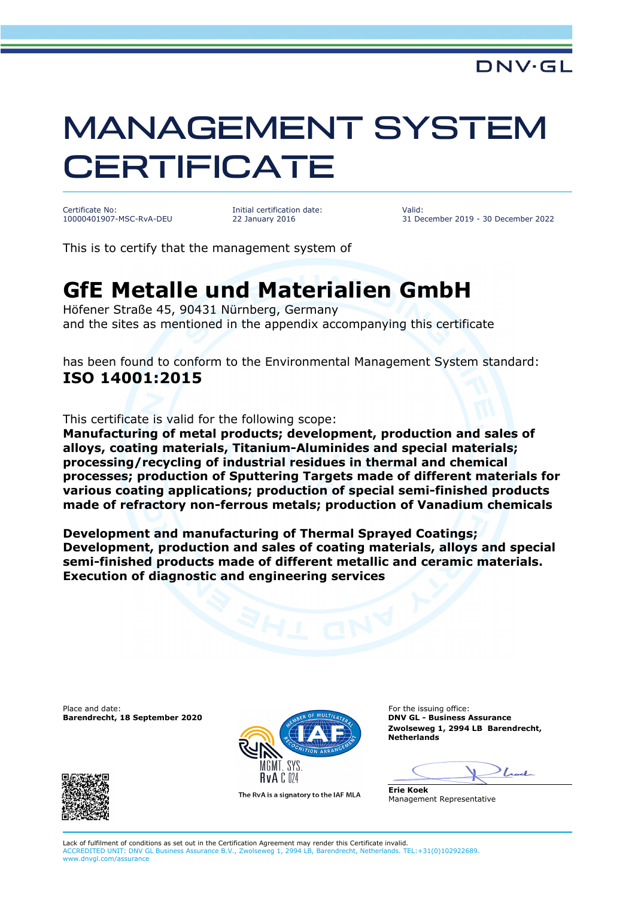## MANAGEMENT SYSTEM **CERTIFICATE**

Certificate No: 10000401907-MSC-RvA-DEU Initial certification date: 22 January 2016

Valid: 31 December 2019 - 30 December 2022

This is to certify that the management system of

## **GfE Metalle und Materialien GmbH**

Höfener Straße 45, 90431 Nürnberg, Germany and the sites as mentioned in the appendix accompanying this certificate

has been found to conform to the Environmental Management System standard: **ISO 14001:2015**

This certificate is valid for the following scope:

**Manufacturing of metal products; development, production and sales of alloys, coating materials, Titanium-Aluminides and special materials; processing/recycling of industrial residues in thermal and chemical processes; production of Sputtering Targets made of different materials for various coating applications; production of special semi-finished products made of refractory non-ferrous metals; production of Vanadium chemicals** 

**Development and manufacturing of Thermal Sprayed Coatings; Development, production and sales of coating materials, alloys and special semi-finished products made of different metallic and ceramic materials. Execution of diagnostic and engineering services**

Place and date:<br> **Barendrecht, 18 September 2020 Contribution Contribution** September 2020 **Barendrecht, 18 September 2020** 





The RvA is a signatory to the IAF MLA

**Zwolseweg 1, 2994 LB Barendrecht, Netherlands**

hod

**Erie Koek** Management Representative

Lack of fulfilment of conditions as set out in the Certification Agreement may render this Certificate invalid. ACCREDITED UNIT: DNV GL Business Assurance B.V., Zwolseweg 1, 2994 LB, Barendrecht, Netherlands. TEL:+31(0)102922689. www.dnvgl.com/assurance